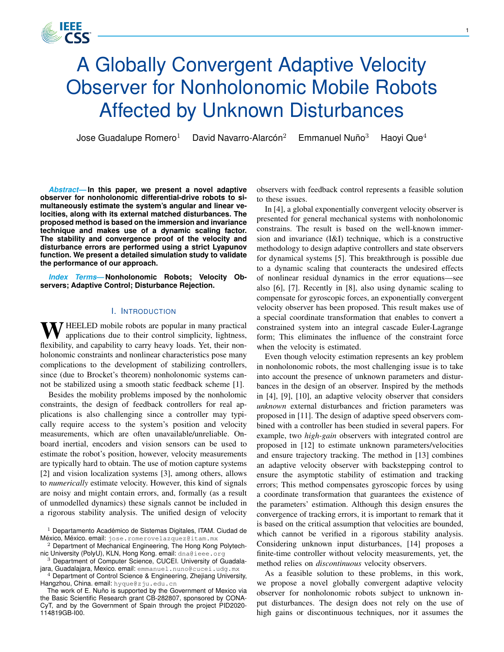# A Globally Convergent Adaptive Velocity Observer for Nonholonomic Mobile Robots Affected by Unknown Disturbances

Jose Guadalupe Romero<sup>1</sup> David Navarro-Alarcón<sup>2</sup>

1666 CSS

Emmanuel Nuño $3$ Haovi Que $4$ 

*Abstract***— In this paper, we present a novel adaptive observer for nonholonomic differential-drive robots to simultaneously estimate the system's angular and linear velocities, along with its external matched disturbances. The proposed method is based on the immersion and invariance technique and makes use of a dynamic scaling factor. The stability and convergence proof of the velocity and disturbance errors are performed using a strict Lyapunov function. We present a detailed simulation study to validate the performance of our approach.**

*Index Terms***— Nonholonomic Robots; Velocity Observers; Adaptive Control; Disturbance Rejection.**

# I. INTRODUCTION

 $\sum$  HEELED mobile robots are popular in many practical applications due to their control simplicity, lightness, flexibility, and capability to carry heavy loads. Yet, their nonholonomic constraints and nonlinear characteristics pose many complications to the development of stabilizing controllers, since (due to Brocket's theorem) nonholonomic systems cannot be stabilized using a smooth static feedback scheme [1].

Besides the mobility problems imposed by the nonholomic constraints, the design of feedback controllers for real applications is also challenging since a controller may typically require access to the system's position and velocity measurements, which are often unavailable/unreliable. Onboard inertial, encoders and vision sensors can be used to estimate the robot's position, however, velocity measurements are typically hard to obtain. The use of motion capture systems [2] and vision localization systems [3], among others, allows to *numerically* estimate velocity. However, this kind of signals are noisy and might contain errors, and, formally (as a result of unmodelled dynamics) these signals cannot be included in a rigorous stability analysis. The unified design of velocity

 $1$  Departamento Académico de Sistemas Digitales, ITAM. Ciudad de México, México. email: jose.romerovelazquez@itam.mx

<sup>2</sup> Department of Mechanical Engineering, The Hong Kong Polytechnic University (PolyU), KLN, Hong Kong. email: dna@ieee.org

<sup>3</sup> Department of Computer Science, CUCEI. University of Guadalajara, Guadalajara, Mexico. email: emmanuel.nuno@cucei.udg.mx

 $4$  Department of Control Science & Engineering, Zhejiang University, Hangzhou, China. email: hyque@zju.edu.cn

The work of E. Nuño is supported by the Government of Mexico via the Basic Scientific Research grant CB-282807, sponsored by CONA-CyT, and by the Government of Spain through the project PID2020- 114819GB-I00.

observers with feedback control represents a feasible solution to these issues.

In [4], a global exponentially convergent velocity observer is presented for general mechanical systems with nonholonomic constrains. The result is based on the well-known immersion and invariance (I&I) technique, which is a constructive methodology to design adaptive controllers and state observers for dynamical systems [5]. This breakthrough is possible due to a dynamic scaling that counteracts the undesired effects of nonlinear residual dynamics in the error equations—see also [6], [7]. Recently in [8], also using dynamic scaling to compensate for gyroscopic forces, an exponentially convergent velocity observer has been proposed. This result makes use of a special coordinate transformation that enables to convert a constrained system into an integral cascade Euler-Lagrange form; This eliminates the influence of the constraint force when the velocity is estimated.

Even though velocity estimation represents an key problem in nonholonomic robots, the most challenging issue is to take into account the presence of unknown parameters and disturbances in the design of an observer. Inspired by the methods in [4], [9], [10], an adaptive velocity observer that considers *unknown* external disturbances and friction parameters was proposed in [11]. The design of adaptive speed observers combined with a controller has been studied in several papers. For example, two *high-gain* observers with integrated control are proposed in [12] to estimate unknown parameters/velocities and ensure trajectory tracking. The method in [13] combines an adaptive velocity observer with backstepping control to ensure the asymptotic stability of estimation and tracking errors; This method compensates gyroscopic forces by using a coordinate transformation that guarantees the existence of the parameters' estimation. Although this design ensures the convergence of tracking errors, it is important to remark that it is based on the critical assumption that velocities are bounded, which cannot be verified in a rigorous stability analysis. Considering unknown input disturbances, [14] proposes a finite-time controller without velocity measurements, yet, the method relies on *discontinuous* velocity observers.

As a feasible solution to these problems, in this work, we propose a novel globally convergent adaptive velocity observer for nonholonomic robots subject to unknown input disturbances. The design does not rely on the use of high gains or discontinuous techniques, nor it assumes the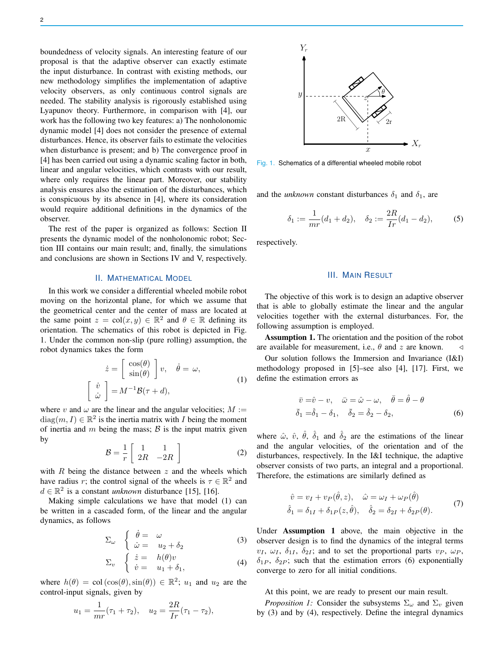boundedness of velocity signals. An interesting feature of our proposal is that the adaptive observer can exactly estimate the input disturbance. In contrast with existing methods, our new methodology simplifies the implementation of adaptive velocity observers, as only continuous control signals are needed. The stability analysis is rigorously established using Lyapunov theory. Furthermore, in comparison with [4], our work has the following two key features: a) The nonholonomic dynamic model [4] does not consider the presence of external disturbances. Hence, its observer fails to estimate the velocities when disturbance is present; and b) The convergence proof in [4] has been carried out using a dynamic scaling factor in both, linear and angular velocities, which contrasts with our result, where only requires the linear part. Moreover, our stability analysis ensures also the estimation of the disturbances, which is conspicuous by its absence in [4], where its consideration would require additional definitions in the dynamics of the observer.

The rest of the paper is organized as follows: Section II presents the dynamic model of the nonholonomic robot; Section III contains our main result; and, finally, the simulations and conclusions are shown in Sections IV and V, respectively.

# II. MATHEMATICAL MODEL

In this work we consider a differential wheeled mobile robot moving on the horizontal plane, for which we assume that the geometrical center and the center of mass are located at the same point  $z = col(x, y) \in \mathbb{R}^2$  and  $\theta \in \mathbb{R}$  defining its orientation. The schematics of this robot is depicted in Fig. 1. Under the common non-slip (pure rolling) assumption, the robot dynamics takes the form

$$
\dot{z} = \begin{bmatrix} \cos(\theta) \\ \sin(\theta) \end{bmatrix} v, \quad \dot{\theta} = \omega,
$$
  

$$
\begin{bmatrix} \dot{v} \\ \dot{\omega} \end{bmatrix} = M^{-1} \mathcal{B}(\tau + d),
$$
 (1)

where v and  $\omega$  are the linear and the angular velocities;  $M :=$  $diag(m, I) \in \mathbb{R}^2$  is the inertia matrix with I being the moment of inertia and  $m$  being the mass;  $\beta$  is the input matrix given by

$$
\mathcal{B} = \frac{1}{r} \left[ \begin{array}{cc} 1 & 1 \\ 2R & -2R \end{array} \right] \tag{2}
$$

with  $R$  being the distance between  $z$  and the wheels which have radius r; the control signal of the wheels is  $\tau \in \mathbb{R}^2$  and  $d \in \mathbb{R}^2$  is a constant *unknown* disturbance [15], [16].

Making simple calculations we have that model (1) can be written in a cascaded form, of the linear and the angular dynamics, as follows

$$
\Sigma_{\omega} \quad \begin{cases} \n\dot{\theta} = \omega \\ \n\dot{\omega} = u_2 + \delta_2 \n\end{cases} \n\tag{3}
$$

$$
\Sigma_v \quad \begin{cases} \quad \dot{z} = h(\theta)v \\ \quad \dot{v} = u_1 + \delta_1, \end{cases} \tag{4}
$$

where  $h(\theta) = \text{col}(\cos(\theta), \sin(\theta)) \in \mathbb{R}^2$ ;  $u_1$  and  $u_2$  are the control-input signals, given by

$$
u_1 = \frac{1}{mr}(\tau_1 + \tau_2), \quad u_2 = \frac{2R}{Ir}(\tau_1 - \tau_2),
$$



Fig. 1. Schematics of a differential wheeled mobile robot

and the *unknown* constant disturbances  $\delta_1$  and  $\delta_1$ , are

$$
\delta_1 := \frac{1}{mr}(d_1 + d_2), \quad \delta_2 := \frac{2R}{Ir}(d_1 - d_2), \tag{5}
$$

respectively.

# III. MAIN RESULT

The objective of this work is to design an adaptive observer that is able to globally estimate the linear and the angular velocities together with the external disturbances. For, the following assumption is employed.

Assumption 1. The orientation and the position of the robot are available for measurement, i.e.,  $\theta$  and z are known.  $\triangleleft$ 

Our solution follows the Immersion and Invariance (I&I) methodology proposed in [5]–see also [4], [17]. First, we define the estimation errors as

$$
\begin{aligned}\n\bar{v} &= \hat{v} - v, \quad \bar{\omega} = \hat{\omega} - \omega, \quad \bar{\theta} = \hat{\theta} - \theta \\
\bar{\delta}_1 &= \hat{\delta}_1 - \delta_1, \quad \bar{\delta}_2 = \hat{\delta}_2 - \delta_2,\n\end{aligned}
$$
(6)

where  $\hat{\omega}$ ,  $\hat{v}$ ,  $\hat{\theta}$ ,  $\hat{\delta}_1$  and  $\hat{\delta}_2$  are the estimations of the linear and the angular velocities, of the orientation and of the disturbances, respectively. In the I&I technique, the adaptive observer consists of two parts, an integral and a proportional. Therefore, the estimations are similarly defined as

$$
\hat{v} = v_I + v_P(\hat{\theta}, z), \quad \hat{\omega} = \omega_I + \omega_P(\hat{\theta}) \n\hat{\delta}_1 = \delta_{1I} + \delta_{1P}(z, \hat{\theta}), \quad \hat{\delta}_2 = \delta_{2I} + \delta_{2P}(\theta).
$$
\n(7)

Under Assumption 1 above, the main objective in the observer design is to find the dynamics of the integral terms  $v_I, \omega_I, \delta_{1I}, \delta_{2I}$ ; and to set the proportional parts  $v_P, \omega_P$ ,  $\delta_{1P}$ ,  $\delta_{2P}$ ; such that the estimation errors (6) exponentially converge to zero for all initial conditions.

At this point, we are ready to present our main result.

*Proposition 1:* Consider the subsystems  $\Sigma_{\omega}$  and  $\Sigma_{\nu}$  given by (3) and by (4), respectively. Define the integral dynamics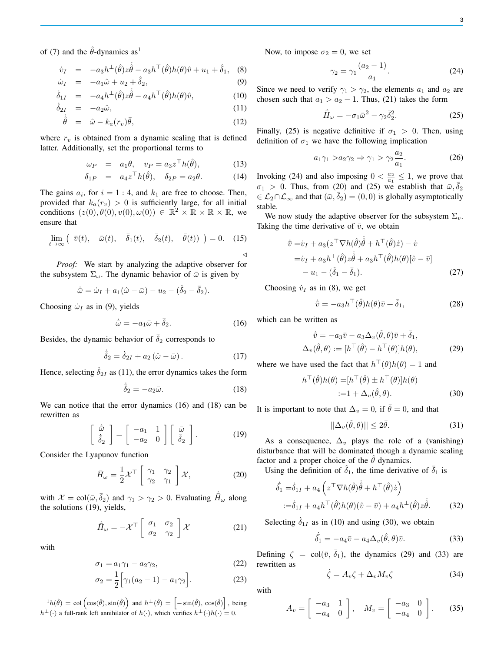of (7) and the  $\hat{\theta}$ -dynamics as<sup>1</sup>

$$
\dot{v}_I = -a_3 h^{\perp}(\hat{\theta}) z \dot{\hat{\theta}} - a_3 h^{\top}(\hat{\theta}) h(\theta) \hat{v} + u_1 + \hat{\delta}_1, \quad (8)
$$

$$
\dot{\omega}_I = -a_1 \hat{\omega} + u_2 + \hat{\delta}_2, \tag{9}
$$

$$
\dot{\delta}_{1I} = -a_4 h^{\perp}(\hat{\theta}) z \dot{\hat{\theta}} - a_4 h^{\top}(\hat{\theta}) h(\theta) \hat{v}, \qquad (10)
$$

$$
\dot{\delta}_{2I} = -a_2 \hat{\omega}, \qquad (11)
$$

$$
\dot{\hat{\theta}} = \hat{\omega} - k_a(r_v)\bar{\theta},\tag{12}
$$

where  $r_v$  is obtained from a dynamic scaling that is defined latter. Additionally, set the proportional terms to

$$
\omega_P = a_1 \theta, \quad v_P = a_3 z^\top h(\hat{\theta}), \tag{13}
$$

$$
\delta_{1P} = a_4 z^{\top} h(\hat{\theta}), \quad \delta_{2P} = a_2 \theta. \tag{14}
$$

The gains  $a_i$ , for  $i = 1 : 4$ , and  $k_1$  are free to choose. Then, provided that  $k_a(r_v) > 0$  is sufficiently large, for all initial conditions  $(z(0), \dot{\theta}(0), v(0), \omega(0)) \in \mathbb{R}^2 \times \mathbb{R} \times \mathbb{R} \times \mathbb{R}$ , we ensure that

$$
\lim_{t \to \infty} \left( \bar{v}(t), \quad \bar{\omega}(t), \quad \bar{\delta}_1(t), \quad \bar{\delta}_2(t), \quad \bar{\theta}(t) \right) = 0. \quad (15)
$$

*Proof:* We start by analyzing the adaptive observer for the subsystem  $\Sigma_{\omega}$ . The dynamic behavior of  $\bar{\omega}$  is given by

$$
\dot{\bar{\omega}} = \dot{\omega}_I + a_1(\hat{\omega} - \bar{\omega}) - u_2 - (\hat{\delta}_2 - \bar{\delta}_2).
$$

Choosing  $\dot{\omega}_I$  as in (9), yields

$$
\dot{\bar{\omega}} = -a_1 \bar{\omega} + \bar{\delta}_2. \tag{16}
$$

Besides, the dynamic behavior of  $\overline{\delta}_2$  corresponds to

$$
\dot{\bar{\delta}}_2 = \dot{\delta}_{2I} + a_2 \left(\hat{\omega} - \bar{\omega}\right). \tag{17}
$$

Hence, selecting  $\dot{\delta}_{2I}$  as (11), the error dynamics takes the form

$$
\dot{\bar{\delta}}_2 = -a_2 \bar{\omega}.\tag{18}
$$

We can notice that the error dynamics (16) and (18) can be rewritten as

$$
\begin{bmatrix} \dot{\bar{\omega}} \\ \dot{\bar{\delta}}_2 \end{bmatrix} = \begin{bmatrix} -a_1 & 1 \\ -a_2 & 0 \end{bmatrix} \begin{bmatrix} \bar{\omega} \\ \bar{\delta}_2 \end{bmatrix}.
$$
 (19)

Consider the Lyapunov function

$$
\bar{H}_{\omega} = \frac{1}{2} \mathcal{X}^{\top} \begin{bmatrix} \gamma_1 & \gamma_2 \\ \gamma_2 & \gamma_1 \end{bmatrix} \mathcal{X}, \qquad (20)
$$

with  $\mathcal{X} = \text{col}(\bar{\omega}, \bar{\delta}_2)$  and  $\gamma_1 > \gamma_2 > 0$ . Evaluating  $\dot{\bar{H}}_{\omega}$  along the solutions (19), yields,

$$
\dot{\bar{H}}_{\omega} = -\mathcal{X}^{\top} \begin{bmatrix} \sigma_1 & \sigma_2 \\ \sigma_2 & \gamma_2 \end{bmatrix} \mathcal{X}
$$
 (21)

with

$$
\sigma_1 = a_1 \gamma_1 - a_2 \gamma_2,\tag{22}
$$

$$
\sigma_2 = \frac{1}{2} \Big[ \gamma_1 (a_2 - 1) - a_1 \gamma_2 \Big]. \tag{23}
$$

 ${}^{1}h(\hat{\theta}) = \text{col}(\cos(\hat{\theta}), \sin(\hat{\theta}))$  and  $h^{\perp}(\hat{\theta}) = [-\sin(\hat{\theta}), \cos(\hat{\theta})]$ , being  $h^{\perp}(\cdot)$  a full-rank left annihilator of  $h(\cdot)$ , which verifies  $h^{\perp}(\cdot)h(\cdot) = 0$ .

Now, to impose  $\sigma_2 = 0$ , we set

$$
\gamma_2 = \gamma_1 \frac{(a_2 - 1)}{a_1}.
$$
 (24)

Since we need to verify  $\gamma_1 > \gamma_2$ , the elements  $a_1$  and  $a_2$  are chosen such that  $a_1 > a_2 - 1$ . Thus, (21) takes the form

$$
\dot{\bar{H}}_{\omega} = -\sigma_1 \bar{\omega}^2 - \gamma_2 \bar{\delta}_2^2. \tag{25}
$$

Finally, (25) is negative definitive if  $\sigma_1 > 0$ . Then, using definition of  $\sigma_1$  we have the following implication

$$
a_1 \gamma_1 > a_2 \gamma_2 \Rightarrow \gamma_1 > \gamma_2 \frac{a_2}{a_1}.\tag{26}
$$

Invoking (24) and also imposing  $0 < \frac{a_2}{a_1} \le 1$ , we prove that  $\sigma_1 > 0$ . Thus, from (20) and (25) we establish that  $\bar{\omega}, \bar{\delta}_2$  $\in$  L<sub>2</sub>∩L<sub>∞</sub> and that  $(\bar{\omega}, \bar{\delta}_2) = (0, 0)$  is globally asymptotically stable.

We now study the adaptive observer for the subsystem  $\Sigma_v$ . Taking the time derivative of  $\bar{v}$ , we obtain

$$
\dot{\bar{v}} = \dot{v}_I + a_3(z^\top \nabla h(\hat{\theta})\dot{\hat{\theta}} + h^\top(\hat{\theta})\dot{z}) - \dot{v}
$$
  
\n
$$
= \dot{v}_I + a_3 h^\perp(\hat{\theta}) z \dot{\hat{\theta}} + a_3 h^\top(\hat{\theta}) h(\theta) [\hat{v} - \bar{v}]
$$
  
\n
$$
- u_1 - (\hat{\delta}_1 - \bar{\delta}_1). \tag{27}
$$

Choosing  $\dot{v}_I$  as in (8), we get

$$
\dot{\bar{v}} = -a_3 h^\top (\hat{\theta}) h(\theta) \bar{v} + \bar{\delta}_1, \tag{28}
$$

which can be written as

$$
\dot{\bar{v}} = -a_3 \bar{v} - a_3 \Delta_v (\hat{\theta}, \theta) \bar{v} + \bar{\delta}_1, \n\Delta_v (\hat{\theta}, \theta) := [h^\top (\hat{\theta}) - h^\top (\theta)] h(\theta),
$$
\n(29)

where we have used the fact that  $h^{\top}(\theta)h(\theta) = 1$  and

$$
h^{\top}(\hat{\theta})h(\theta) = [h^{\top}(\hat{\theta}) \pm h^{\top}(\theta)]h(\theta)
$$
  
 :=1 + \Delta\_v(\hat{\theta}, \theta). (30)

It is important to note that  $\Delta_v = 0$ , if  $\bar{\theta} = 0$ , and that

$$
||\Delta_v(\hat{\theta}, \theta)|| \le 2\bar{\theta}.\tag{31}
$$

As a consequence,  $\Delta_v$  plays the role of a (vanishing) disturbance that will be dominated though a dynamic scaling factor and a proper choice of the  $\hat{\theta}$  dynamics.

Using the definition of  $\hat{\delta}_1$ , the time derivative of  $\bar{\delta}_1$  is

$$
\dot{\delta}_1 = \dot{\delta}_{1I} + a_4 \left( z^\top \nabla h(\hat{\theta}) \dot{\hat{\theta}} + h^\top (\hat{\theta}) \dot{z} \right)
$$
  
 :=  $\dot{\delta}_{1I} + a_4 h^\top (\hat{\theta}) h(\theta) (\hat{v} - \bar{v}) + a_4 h^\perp (\hat{\theta}) z \dot{\hat{\theta}}.$  (32)

Selecting  $\dot{\delta}_{1I}$  as in (10) and using (30), we obtain

$$
\dot{\bar{\delta}}_1 = -a_4 \bar{v} - a_4 \Delta_v(\hat{\theta}, \theta) \bar{v}.
$$
 (33)

Defining  $\zeta = \text{col}(\bar{v}, \bar{\delta}_1)$ , the dynamics (29) and (33) are rewritten as

$$
\dot{\zeta} = A_v \zeta + \Delta_v M_v \zeta \tag{34}
$$

with

$$
A_v = \begin{bmatrix} -a_3 & 1 \\ -a_4 & 0 \end{bmatrix}, \quad M_v = \begin{bmatrix} -a_3 & 0 \\ -a_4 & 0 \end{bmatrix}.
$$
 (35)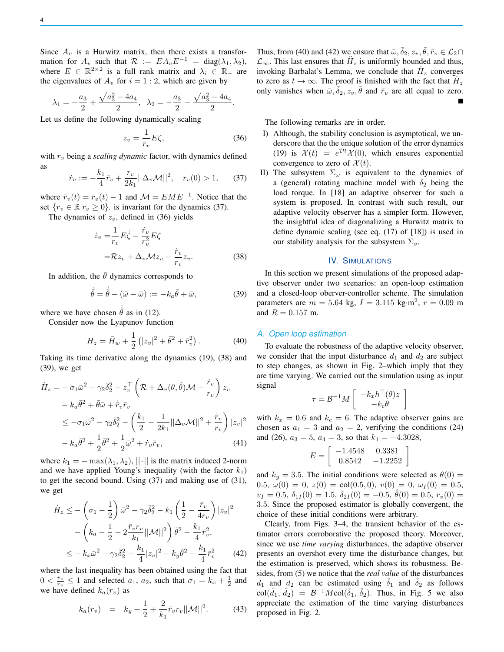Since  $A_{\nu}$  is a Hurwitz matrix, then there exists a transformation for  $A_v$  such that  $\mathcal{R} := EA_v E^{-1} = \text{diag}(\lambda_1, \lambda_2),$ where  $E \in \mathbb{R}^{2 \times 2}$  is a full rank matrix and  $\lambda_i \in \mathbb{R}$  are the eigenvalues of  $A_v$  for  $i = 1 : 2$ , which are given by

$$
\lambda_1 = -\frac{a_3}{2} + \frac{\sqrt{a_3^2 - 4a_4}}{2}, \quad \lambda_2 = -\frac{a_3}{2} - \frac{\sqrt{a_3^2 - 4a_4}}{2}.
$$

Let us define the following dynamically scaling

$$
z_v = \frac{1}{r_v} E\zeta,\tag{36}
$$

with  $r_v$  being a *scaling dynamic* factor, with dynamics defined as

$$
\dot{r}_v := -\frac{k_1}{4}\bar{r}_v + \frac{r_v}{2k_1}||\Delta_v \mathcal{M}||^2, \quad r_v(0) > 1,
$$
 (37)

where  $\bar{r}_v(t) = r_v(t) - 1$  and  $\mathcal{M} = E M E^{-1}$ . Notice that the set  $\{r_v \in \mathbb{R} | r_v \geq 0\}$  is invariant for the dynamics (37).

The dynamics of  $z_v$ , defined in (36) yields

$$
\dot{z}_v = \frac{1}{r_v} E \dot{\zeta} - \frac{\dot{r}_v}{r_v^2} E \zeta
$$
  
=  $\mathcal{R} z_v + \Delta_v \mathcal{M} z_v - \frac{\dot{r}_v}{r_v} z_v.$  (38)

In addition, the  $\bar{\theta}$  dynamics corresponds to

$$
\dot{\bar{\theta}} = \dot{\hat{\theta}} - (\hat{\omega} - \bar{\omega}) := -k_a \bar{\theta} + \bar{\omega},\tag{39}
$$

where we have chosen  $\hat{\theta}$  as in (12).

Consider now the Lyapunov function

$$
H_z = \bar{H}_w + \frac{1}{2} \left( |z_v|^2 + \bar{\theta}^2 + \bar{r}_v^2 \right).
$$
 (40)

Taking its time derivative along the dynamics (19), (38) and (39), we get

$$
\dot{H}_z = -\sigma_1 \bar{\omega}^2 - \gamma_2 \bar{\delta}_2^2 + z_v^{\top} \left( \mathcal{R} + \Delta_v(\theta, \hat{\theta}) \mathcal{M} - \frac{\dot{r}_v}{r_v} \right) z_v \n- k_a \bar{\theta}^2 + \bar{\theta} \bar{\omega} + \dot{\bar{r}}_v \bar{r}_v \n\leq -\sigma_1 \bar{\omega}^2 - \gamma_2 \bar{\delta}_2^2 - \left( \frac{k_1}{2} - \frac{1}{2k_1} ||\Delta_v \mathcal{M}||^2 + \frac{\dot{r}_v}{r_v} \right) |z_v|^2 \n- k_a \bar{\theta}^2 + \frac{1}{2} \bar{\theta}^2 + \frac{1}{2} \bar{\omega}^2 + \dot{r}_v \bar{r}_v,
$$
\n(41)

where  $k_1 = -\max(\lambda_1, \lambda_2), ||\cdot||$  is the matrix induced 2-norm and we have applied Young's inequality (with the factor  $k_1$ ) to get the second bound. Using (37) and making use of (31), we get

$$
\dot{H}_z \le -\left(\sigma_1 - \frac{1}{2}\right)\bar{\omega}^2 - \gamma_2 \bar{\delta}_2^2 - k_1 \left(\frac{1}{2} - \frac{\bar{r}_v}{4r_v}\right)|z_v|^2
$$

$$
-\left(k_a - \frac{1}{2} - 2\frac{\bar{r}_v r_v}{k_1}||\mathcal{M}||^2\right)\bar{\theta}^2 - \frac{k_1}{4}\bar{r}_v^2,
$$

$$
\le -k_x\bar{\omega}^2 - \gamma_2 \bar{\delta}_2^2 - \frac{k_1}{4}|z_v|^2 - k_y\bar{\theta}^2 - \frac{k_1}{4}\bar{r}_v^2 \tag{42}
$$

where the last inequality has been obtained using the fact that  $0 < \frac{\bar{r}_v}{r_v} \le 1$  and selected  $a_1, a_2$ , such that  $\sigma_1 = k_x + \frac{1}{2}$  and we have defined  $k_a(r_v)$  as

$$
k_a(r_v) = k_y + \frac{1}{2} + \frac{2}{k_1} \bar{r}_v r_v ||\mathcal{M}||^2.
$$
 (43)

Thus, from (40) and (42) we ensure that  $\bar{\omega}$ ,  $\bar{\delta}_2$ ,  $z_v$ ,  $\bar{\theta}$ ,  $\bar{r}_v \in \mathcal{L}_2 \cap$  $\mathcal{L}_{\infty}$ . This last ensures that  $\ddot{H}_z$  is uniformly bounded and thus, invoking Barbalat's Lemma, we conclude that  $\dot{H}_z$  converges to zero as  $t \to \infty$ . The proof is finished with the fact that  $\hat{H}_z$ only vanishes when  $\bar{\omega}, \overline{\delta}_2, z_v, \overline{\theta}$  and  $\bar{r}_v$  are all equal to zero.

The following remarks are in order.

- I) Although, the stability conclusion is asymptotical, we underscore that the the unique solution of the error dynamics (19) is  $\mathcal{X}(t) = e^{\mathcal{D}t} \mathcal{X}(0)$ , which ensures exponential convergence to zero of  $\mathcal{X}(t)$ .
- II) The subsystem  $\Sigma_{\omega}$  is equivalent to the dynamics of a (general) rotating machine model with  $\delta_2$  being the load torque. In [18] an adaptive observer for such a system is proposed. In contrast with such result, our adaptive velocity observer has a simpler form. However, the insightful idea of diagonalizing a Hurwitz matrix to define dynamic scaling (see eq. (17) of [18]) is used in our stability analysis for the subsystem  $\Sigma_v$ .

#### IV. SIMULATIONS

In this section we present simulations of the proposed adaptive observer under two scenarios: an open-loop estimation and a closed-loop oberver-controller scheme. The simulation parameters are  $m = 5.64$  kg,  $I = 3.115$  kg·m<sup>2</sup>,  $r = 0.09$  m and  $R = 0.157$  m.

#### *A. Open loop estimation*

To evaluate the robustness of the adaptive velocity observer, we consider that the input disturbance  $d_1$  and  $d_2$  are subject to step changes, as shown in Fig. 2–which imply that they are time varying. We carried out the simulation using as input signal

$$
\tau = \mathcal{B}^{-1} M \left[ \begin{array}{c} -k_x h^{\top}(\theta) z \\ -k_c \theta \end{array} \right]
$$

with  $k_x = 0.6$  and  $k_c = 6$ . The adaptive observer gains are chosen as  $a_1 = 3$  and  $a_2 = 2$ , verifying the conditions (24) and (26),  $a_3 = 5$ ,  $a_4 = 3$ , so that  $k_1 = -4.3028$ ,

$$
E = \left[ \begin{array}{cc} -1.4548 & 0.3381 \\ 0.8542 & -1.2252 \end{array} \right]
$$

and  $k_y = 3.5$ . The initial conditions were selected as  $\theta(0) =$ 0.5,  $\omega(0) = 0$ ,  $z(0) = \text{col}(0.5, 0)$ ,  $v(0) = 0$ ,  $\omega_I(0) = 0.5$ ,  $v_I = 0.5, \delta_{1I}(0) = 1.5, \delta_{2I}(0) = -0.5, \hat{\theta}(0) = 0.5, r_v(0) = 0.5$ 3.5. Since the proposed estimator is globally convergent, the choice of these initial conditions were arbitrary.

Clearly, from Figs. 3–4, the transient behavior of the estimator errors corroborative the proposed theory. Moreover, since we use *time varying* disturbances, the adaptive observer presents an overshot every time the disturbance changes, but the estimation is preserved, which shows its robustness. Besides, from (5) we notice that the *real value* of the disturbances  $d_1$  and  $d_2$  can be estimated using  $\hat{\delta}_1$  and  $\hat{\delta}_2$  as follows  $\text{col}(\hat{d}_1, \hat{d}_2) = \mathcal{B}^{-1}M\text{col}(\hat{\delta}_1, \hat{\delta}_2)$ . Thus, in Fig. 5 we also appreciate the estimation of the time varying disturbances proposed in Fig. 2.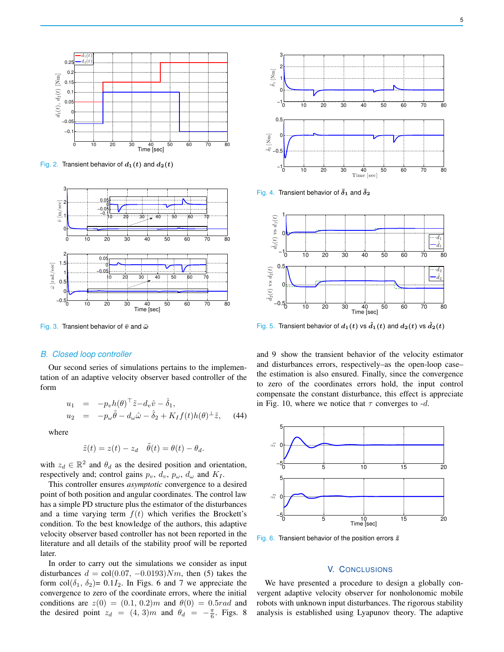

Fig. 2. Transient behavior of  $d_1(t)$  and  $d_2(t)$ 



Fig. 3. Transient behavior of  $\bar{v}$  and  $\bar{\omega}$ 

# *B. Closed loop controller*

Our second series of simulations pertains to the implementation of an adaptive velocity observer based controller of the form

$$
u_1 = -p_v h(\theta)^\top \tilde{z} - d_v \hat{v} - \hat{\delta}_1,
$$
  
\n
$$
u_2 = -p_\omega \tilde{\theta} - d_\omega \hat{\omega} - \hat{\delta}_2 + K_I f(t) h(\theta)^\perp \tilde{z}, \quad (44)
$$

where

$$
\tilde{z}(t) = z(t) - z_d \quad \tilde{\theta}(t) = \theta(t) - \theta_d.
$$

with  $z_d \in \mathbb{R}^2$  and  $\theta_d$  as the desired position and orientation, respectively and; control gains  $p_v$ ,  $d_v$ ,  $p_\omega$ ,  $d_\omega$  and  $K_I$ .

This controller ensures *asymptotic* convergence to a desired point of both position and angular coordinates. The control law has a simple PD structure plus the estimator of the disturbances and a time varying term  $f(t)$  which verifies the Brockett's condition. To the best knowledge of the authors, this adaptive velocity observer based controller has not been reported in the literature and all details of the stability proof will be reported later.

In order to carry out the simulations we consider as input disturbances  $d = \text{col}(0.07, -0.0193)Nm$ , then (5) takes the form col $(\delta_1, \delta_2)$ = 0.1 $I_2$ . In Figs. 6 and 7 we appreciate the convergence to zero of the coordinate errors, where the initial conditions are  $z(0) = (0.1, 0.2)m$  and  $\theta(0) = 0.5rad$  and the desired point  $z_d = (4, 3)m$  and  $\theta_d = -\frac{\pi}{6}$ . Figs. 8



Fig. 4. Transient behavior of  $\bar{\delta}_1$  and  $\bar{\delta}_2$ 



Fig. 5. Transient behavior of  $d_1(t)$  vs  $\hat{d}_1(t)$  and  $d_2(t)$  vs  $\hat{d}_2(t)$ 

and 9 show the transient behavior of the velocity estimator and disturbances errors, respectively–as the open-loop case– the estimation is also ensured. Finally, since the convergence to zero of the coordinates errors hold, the input control compensate the constant disturbance, this effect is appreciate in Fig. 10, where we notice that  $\tau$  converges to -d.



Fig. 6. Transient behavior of the position errors  $\tilde{z}$ 

# V. CONCLUSIONS

We have presented a procedure to design a globally convergent adaptive velocity observer for nonholonomic mobile robots with unknown input disturbances. The rigorous stability analysis is established using Lyapunov theory. The adaptive